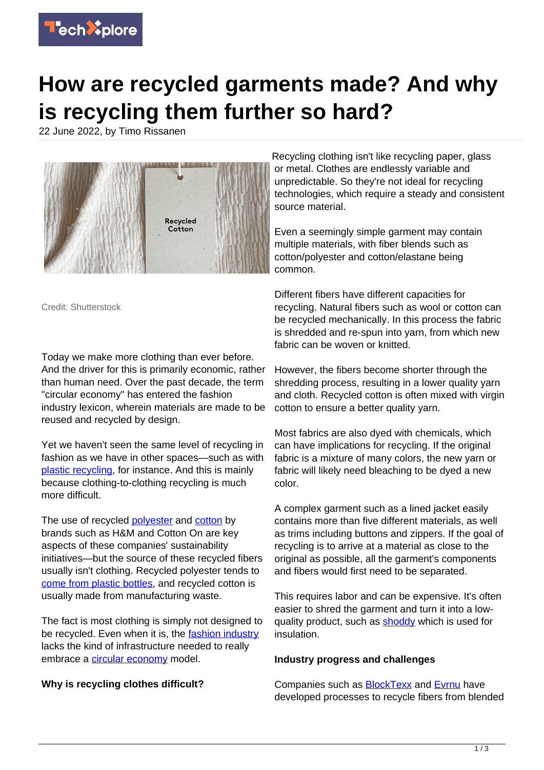

# **How are recycled garments made? And why is recycling them further so hard?**

22 June 2022, by Timo Rissanen



Credit: Shutterstock

Today we make more clothing than ever before. And the driver for this is primarily economic, rather than human need. Over the past decade, the term "circular economy" has entered the fashion industry lexicon, wherein materials are made to be reused and recycled by design.

Yet we haven't seen the same level of recycling in fashion as we have in other spaces—such as with [plastic recycling,](https://techxplore.com/tags/plastic+recycling/) for instance. And this is mainly because clothing-to-clothing recycling is much more difficult.

The use of recycled [polyester](https://techxplore.com/tags/polyester/) and [cotton](https://techxplore.com/tags/cotton/) by brands such as H&M and Cotton On are key aspects of these companies' sustainability initiatives—but the source of these recycled fibers usually isn't clothing. Recycled polyester tends to [come from plastic bottles](https://artsandculture.google.com/story/zwUxmcq5wIZqLA), and recycled cotton is usually made from manufacturing waste.

The fact is most clothing is simply not designed to be recycled. Even when it is, the [fashion industry](https://techxplore.com/tags/fashion+industry/) lacks the kind of infrastructure needed to really embrace a [circular economy](https://techxplore.com/tags/circular+economy/) model.

## **Why is recycling clothes difficult?**

Recycling clothing isn't like recycling paper, glass or metal. Clothes are endlessly variable and unpredictable. So they're not ideal for recycling technologies, which require a steady and consistent source material.

Even a seemingly simple garment may contain multiple materials, with fiber blends such as cotton/polyester and cotton/elastane being common.

Different fibers have different capacities for recycling. Natural fibers such as wool or cotton can be recycled mechanically. In this process the fabric is shredded and re-spun into yarn, from which new fabric can be woven or knitted.

However, the fibers become shorter through the shredding process, resulting in a lower quality yarn and cloth. Recycled cotton is often mixed with virgin cotton to ensure a better quality yarn.

Most fabrics are also dyed with chemicals, which can have implications for recycling. If the original fabric is a mixture of many colors, the new yarn or fabric will likely need bleaching to be dyed a new color.

A complex garment such as a lined jacket easily contains more than five different materials, as well as trims including buttons and zippers. If the goal of recycling is to arrive at a material as close to the original as possible, all the garment's components and fibers would first need to be separated.

This requires labor and can be expensive. It's often easier to shred the garment and turn it into a lowquality product, such as [shoddy](https://www.cjr.org/language_corner/shoddy.php) which is used for insulation.

### **Industry progress and challenges**

Companies such as **BlockTexx** and **Evrnu** have developed processes to recycle fibers from blended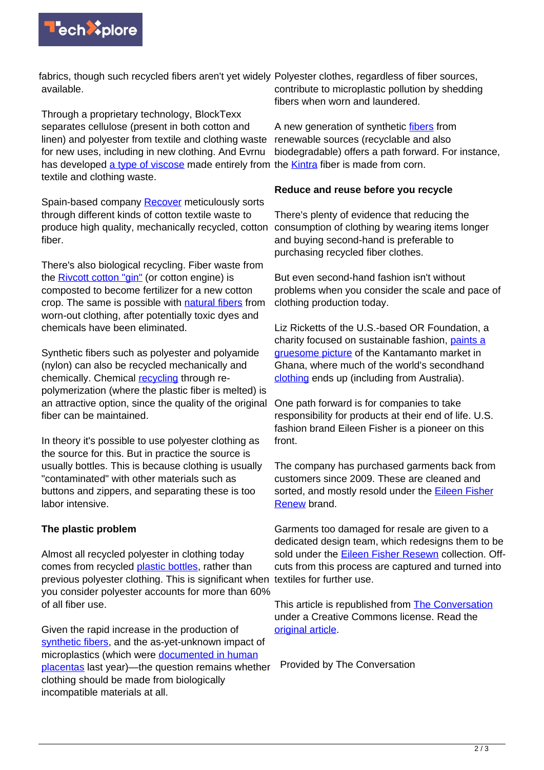

fabrics, though such recycled fibers aren't yet widely Polyester clothes, regardless of fiber sources, available.

Through a proprietary technology, BlockTexx separates cellulose (present in both cotton and linen) and polyester from textile and clothing waste for new uses, including in new clothing. And Evrnu has developed [a type of viscose](https://www.evrnu.com/nucycl) made entirely from the **Kintra** fiber is made from corn. textile and clothing waste.

Spain-based company [Recover](https://recoverfiber.com/products/rcotton) meticulously sorts through different kinds of cotton textile waste to produce high quality, mechanically recycled, cotton fiber.

There's also biological recycling. Fiber waste from the **Rivcott cotton "gin"** (or cotton engine) is composted to become fertilizer for a new cotton crop. The same is possible with [natural fibers](https://techxplore.com/tags/natural+fibers/) from worn-out clothing, after potentially toxic dyes and chemicals have been eliminated.

Synthetic fibers such as polyester and polyamide (nylon) can also be recycled mechanically and chemically. Chemical [recycling](https://techxplore.com/tags/recycling/) through repolymerization (where the plastic fiber is melted) is an attractive option, since the quality of the original fiber can be maintained.

In theory it's possible to use polyester clothing as the source for this. But in practice the source is usually bottles. This is because clothing is usually "contaminated" with other materials such as buttons and zippers, and separating these is too labor intensive.

### **The plastic problem**

Almost all recycled polyester in clothing today comes from recycled [plastic bottles,](https://techxplore.com/tags/plastic+bottles/) rather than previous polyester clothing. This is significant when textiles for further use. you consider polyester accounts for more than 60% of all fiber use.

Given the rapid increase in the production of [synthetic fibers,](http://changingmarkets.org/wp-content/uploads/2021/01/FOSSIL-FASHION_Web-compressed.pdf) and the as-yet-unknown impact of microplastics (which were [documented in human](https://www.sciencedirect.com/science/article/pii/S0160412020322297) [placentas](https://www.sciencedirect.com/science/article/pii/S0160412020322297) last year)—the question remains whether clothing should be made from biologically incompatible materials at all.

contribute to microplastic pollution by shedding fibers when worn and laundered.

A new generation of synthetic [fibers](https://techxplore.com/tags/fibers/) from renewable sources (recyclable and also biodegradable) offers a path forward. For instance,

### **Reduce and reuse before you recycle**

There's plenty of evidence that reducing the consumption of clothing by wearing items longer and buying second-hand is preferable to purchasing recycled fiber clothes.

But even second-hand fashion isn't without problems when you consider the scale and pace of clothing production today.

Liz Ricketts of the U.S.-based OR Foundation, a charity focused on sustainable fashion, [paints a](https://atmos.earth/fashion-clothing-waste-letter-ghana/) [gruesome picture](https://atmos.earth/fashion-clothing-waste-letter-ghana/) of the Kantamanto market in Ghana, where much of the world's secondhand [clothing](https://techxplore.com/tags/clothing/) ends up (including from Australia).

One path forward is for companies to take responsibility for products at their end of life. U.S. fashion brand Eileen Fisher is a pioneer on this front.

The company has purchased garments back from customers since 2009. These are cleaned and sorted, and mostly resold under the [Eileen Fisher](https://www.eileenfisherrenew.com/) [Renew](https://www.eileenfisherrenew.com/) brand.

Garments too damaged for resale are given to a dedicated design team, which redesigns them to be sold under the [Eileen Fisher Resewn](https://www.eileenfisherrenew.com/shop/resewn-collection) collection. Offcuts from this process are captured and turned into

This article is republished from [The Conversation](https://theconversation.com) under a Creative Commons license. Read the [original article](https://theconversation.com/brands-are-leaning-on-recycled-clothes-to-meet-sustainability-goals-how-are-they-made-and-why-is-recycling-them-further-so-hard-184406).

Provided by The Conversation